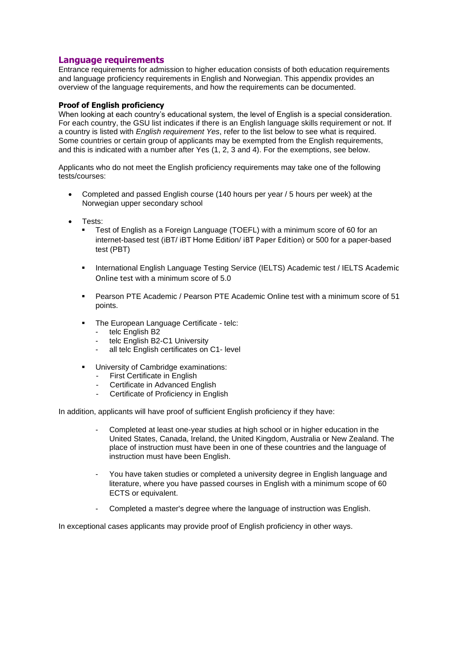## **Language requirements**

Entrance requirements for admission to higher education consists of both education requirements and language proficiency requirements in English and Norwegian. This appendix provides an overview of the language requirements, and how the requirements can be documented.

## **Proof of English proficiency**

When looking at each country's educational system, the level of English is a special consideration. For each country, the GSU list indicates if there is an English language skills requirement or not. If a country is listed with *English requirement Yes*, refer to the list below to see what is required. Some countries or certain group of applicants may be exempted from the English requirements, and this is indicated with a number after Yes (1, 2, 3 and 4). For the exemptions, see below.

Applicants who do not meet the English proficiency requirements may take one of the following tests/courses:

- Completed and passed English course (140 hours per year / 5 hours per week) at the Norwegian upper secondary school
- Tests:
	- Test of English as a Foreign Language (TOEFL) with a minimum score of 60 for an internet-based test (iBT/ iBT Home Edition/ iBT Paper Edition) or 500 for a paper-based test (PBT)
	- **International English Language Testing Service (IELTS) Academic test / IELTS Academic** Online test with a minimum score of 5.0
	- Pearson PTE Academic / Pearson PTE Academic Online test with a minimum score of 51 points.
	- The European Language Certificate telc:
		- telc English B2
		- telc English B2-C1 University
		- all telc English certificates on C1- level
	- University of Cambridge examinations:
		- First Certificate in English
		- Certificate in Advanced English
		- Certificate of Proficiency in English

In addition, applicants will have proof of sufficient English proficiency if they have:

- Completed at least one-year studies at high school or in higher education in the United States, Canada, Ireland, the United Kingdom, Australia or New Zealand. The place of instruction must have been in one of these countries and the language of instruction must have been English.
- You have taken studies or completed a university degree in English language and literature, where you have passed courses in English with a minimum scope of 60 ECTS or equivalent.
- Completed a master's degree where the language of instruction was English.

In exceptional cases applicants may provide proof of English proficiency in other ways.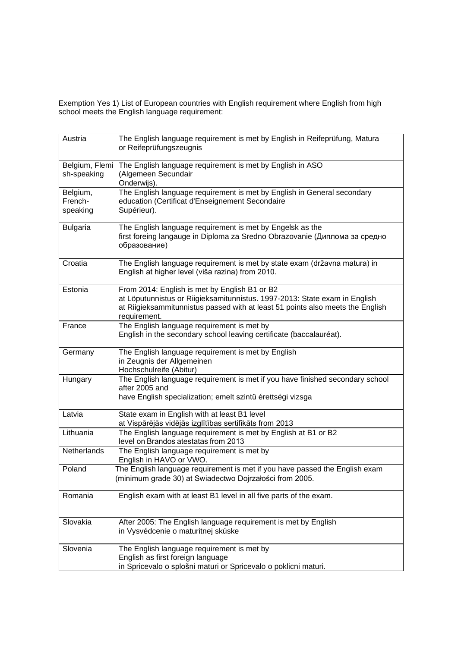Exemption Yes 1) List of European countries with English requirement where English from high school meets the English language requirement:

| Austria            | The English language requirement is met by English in Reifeprüfung, Matura<br>or Reifeprüfungszeugnis                         |
|--------------------|-------------------------------------------------------------------------------------------------------------------------------|
| Belgium, Flemi     | The English language requirement is met by English in ASO                                                                     |
| sh-speaking        | (Algemeen Secundair<br>Onderwijs).                                                                                            |
| Belgium,           | The English language requirement is met by English in General secondary                                                       |
| French-            | education (Certificat d'Enseignement Secondaire                                                                               |
| speaking           | Supérieur).                                                                                                                   |
| <b>Bulgaria</b>    | The English language requirement is met by Engelsk as the                                                                     |
|                    | first foreing langauge in Diploma za Sredno Obrazovanie (Диплома за средно<br>образование)                                    |
| Croatia            | The English language requirement is met by state exam (državna matura) in<br>English at higher level (viša razina) from 2010. |
| Estonia            | From 2014: English is met by English B1 or B2                                                                                 |
|                    | at Löputunnistus or Riigieksamitunnistus. 1997-2013: State exam in English                                                    |
|                    | at Riigieksammitunnistus passed with at least 51 points also meets the English<br>requirement.                                |
| France             | The English language requirement is met by                                                                                    |
|                    | English in the secondary school leaving certificate (baccalauréat).                                                           |
| Germany            | The English language requirement is met by English                                                                            |
|                    | in Zeugnis der Allgemeinen                                                                                                    |
|                    | Hochschulreife (Abitur)                                                                                                       |
| Hungary            | The English language requirement is met if you have finished secondary school<br>after 2005 and                               |
|                    | have English specialization; emelt szintű érettségi vizsga                                                                    |
|                    |                                                                                                                               |
| Latvia             | State exam in English with at least B1 level                                                                                  |
|                    | at Vispārējās vidējās izglītības sertifikāts from 2013                                                                        |
| Lithuania          | The English language requirement is met by English at B1 or B2<br>level on Brandos atestatas from 2013                        |
| <b>Netherlands</b> | The English language requirement is met by<br>English in HAVO or VWO.                                                         |
| Poland             | The English language requirement is met if you have passed the English exam                                                   |
|                    | (minimum grade 30) at Swiadectwo Dojrzałości from 2005.                                                                       |
| Romania            | English exam with at least B1 level in all five parts of the exam.                                                            |
|                    |                                                                                                                               |
| Slovakia           | After 2005: The English language requirement is met by English                                                                |
|                    | in Vysvédcenie o maturitnej skúske                                                                                            |
| Slovenia           | The English language requirement is met by                                                                                    |
|                    | English as first foreign language                                                                                             |
|                    | in Spricevalo o splošni maturi or Spricevalo o poklicni maturi.                                                               |